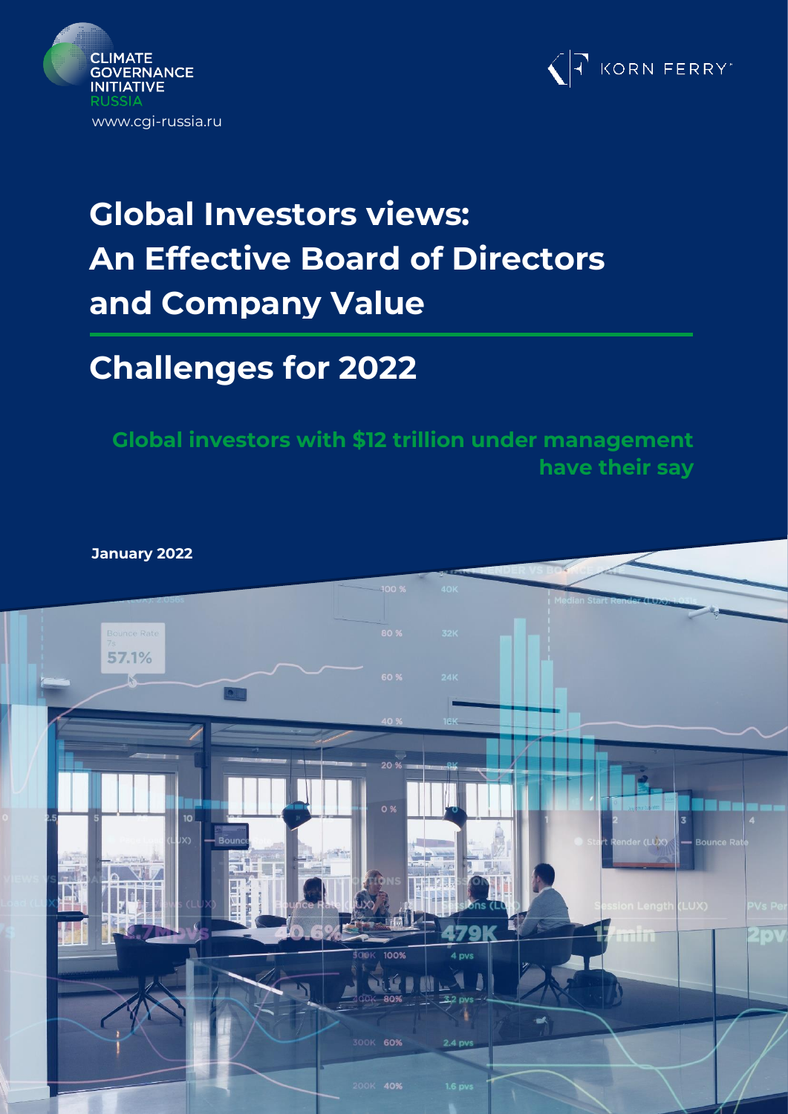



# **Global Investors views: An Effective Board of Directors and Company Value**

# **Challenges for 2022**

**Global investors with \$12 trillion under management have their say**

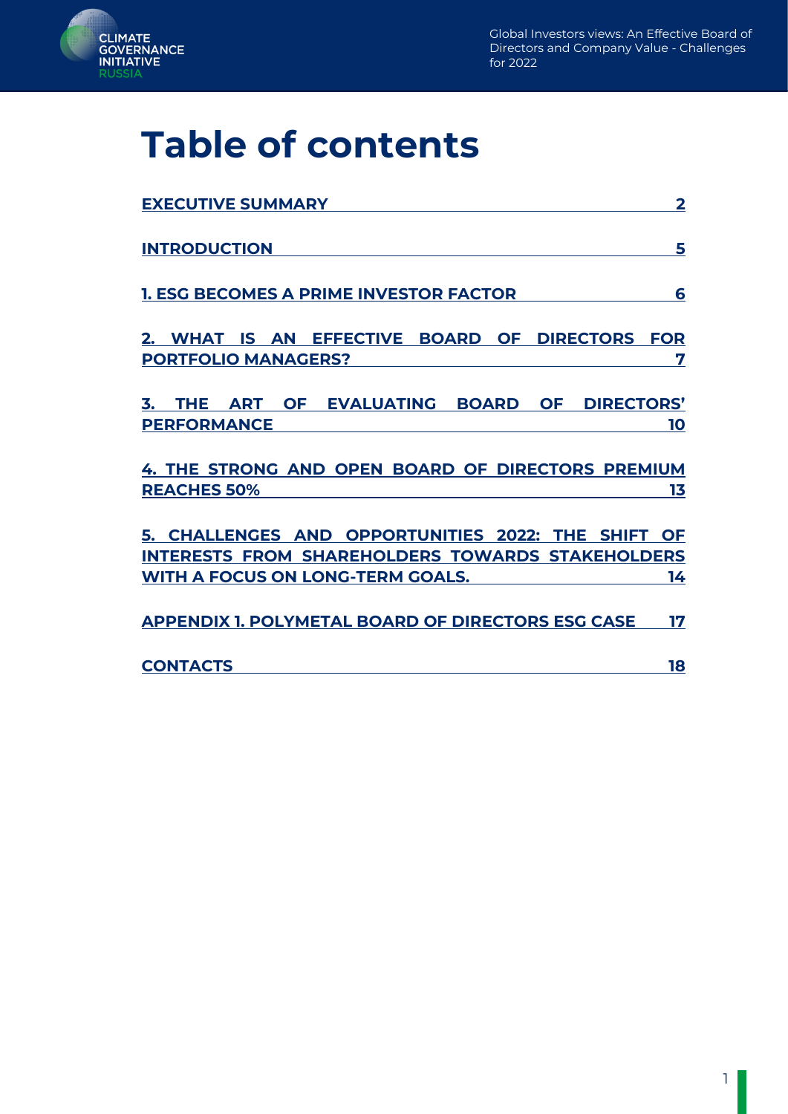

# **Table of contents**

| <b>EXECUTIVE SUMMARY</b>                                                                                                                   | $\overline{\mathbf{2}}$ |
|--------------------------------------------------------------------------------------------------------------------------------------------|-------------------------|
| <b>INTRODUCTION</b>                                                                                                                        | 5                       |
| <b>1. ESG BECOMES A PRIME INVESTOR FACTOR</b>                                                                                              | 6                       |
| 2. WHAT IS AN EFFECTIVE BOARD OF DIRECTORS FOR<br><b>PORTFOLIO MANAGERS?</b>                                                               | 7                       |
| 3. THE ART OF EVALUATING BOARD OF DIRECTORS'<br><b>PERFORMANCE</b>                                                                         | 10                      |
| 4. THE STRONG AND OPEN BOARD OF DIRECTORS PREMIUM<br><b>REACHES 50%</b>                                                                    | 13                      |
| 5. CHALLENGES AND OPPORTUNITIES 2022: THE SHIFT OF<br>INTERESTS FROM SHAREHOLDERS TOWARDS STAKEHOLDERS<br>WITH A FOCUS ON LONG-TERM GOALS. | 14                      |
| <b>APPENDIX 1. POLYMETAL BOARD OF DIRECTORS ESG CASE</b>                                                                                   | 17                      |
| <b>CONTACTS</b>                                                                                                                            | 18                      |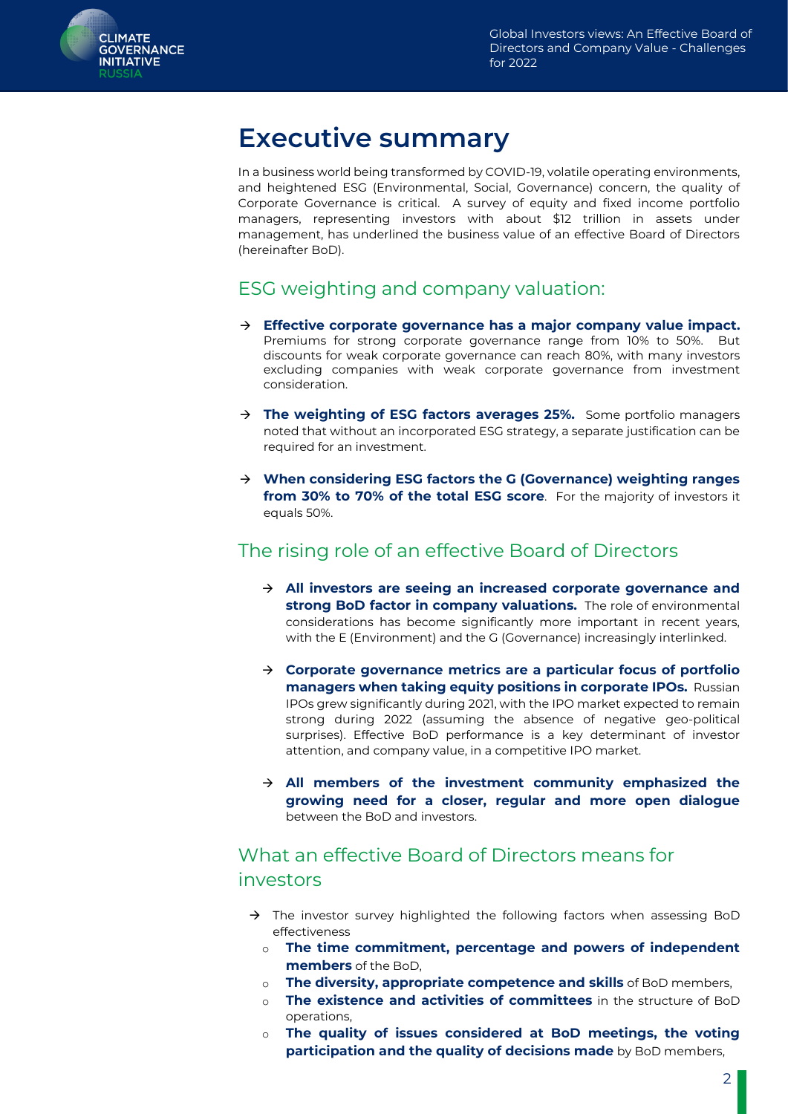<span id="page-2-0"></span>

# **Executive summary**

In a business world being transformed by COVID-19, volatile operating environments, and heightened ESG (Environmental, Social, Governance) concern, the quality of Corporate Governance is critical. A survey of equity and fixed income portfolio managers, representing investors with about \$12 trillion in assets under management, has underlined the business value of an effective Board of Directors (hereinafter BoD).

### ESG weighting and company valuation:

- → **Effective corporate governance has a major company value impact.** Premiums for strong corporate governance range from 10% to 50%. But discounts for weak corporate governance can reach 80%, with many investors excluding companies with weak corporate governance from investment consideration.
- → **The weighting of ESG factors averages 25%.** Some portfolio managers noted that without an incorporated ESG strategy, a separate justification can be required for an investment.
- → **When considering ESG factors the G (Governance) weighting ranges from 30% to 70% of the total ESG score**. For the majority of investors it equals 50%.

### The rising role of an effective Board of Directors

- → **All investors are seeing an increased corporate governance and strong BoD factor in company valuations.** The role of environmental considerations has become significantly more important in recent years, with the E (Environment) and the G (Governance) increasingly interlinked.
- → **Corporate governance metrics are a particular focus of portfolio managers when taking equity positions in corporate IPOs.** Russian IPOs grew significantly during 2021, with the IPO market expected to remain strong during 2022 (assuming the absence of negative geo-political surprises). Effective BoD performance is a key determinant of investor attention, and company value, in a competitive IPO market.
- → **All members of the investment community emphasized the growing need for a closer, regular and more open dialogue** between the BoD and investors.

### What an effective Board of Directors means for investors

- $\rightarrow$  The investor survey highlighted the following factors when assessing BoD effectiveness
	- o **The time commitment, percentage and powers of independent members** of the BoD,
	- o **The diversity, appropriate competence and skills** of BoD members,
	- o **The existence and activities of committees** in the structure of BoD operations,
	- o **The quality of issues considered at BoD meetings, the voting participation and the quality of decisions made** by BoD members,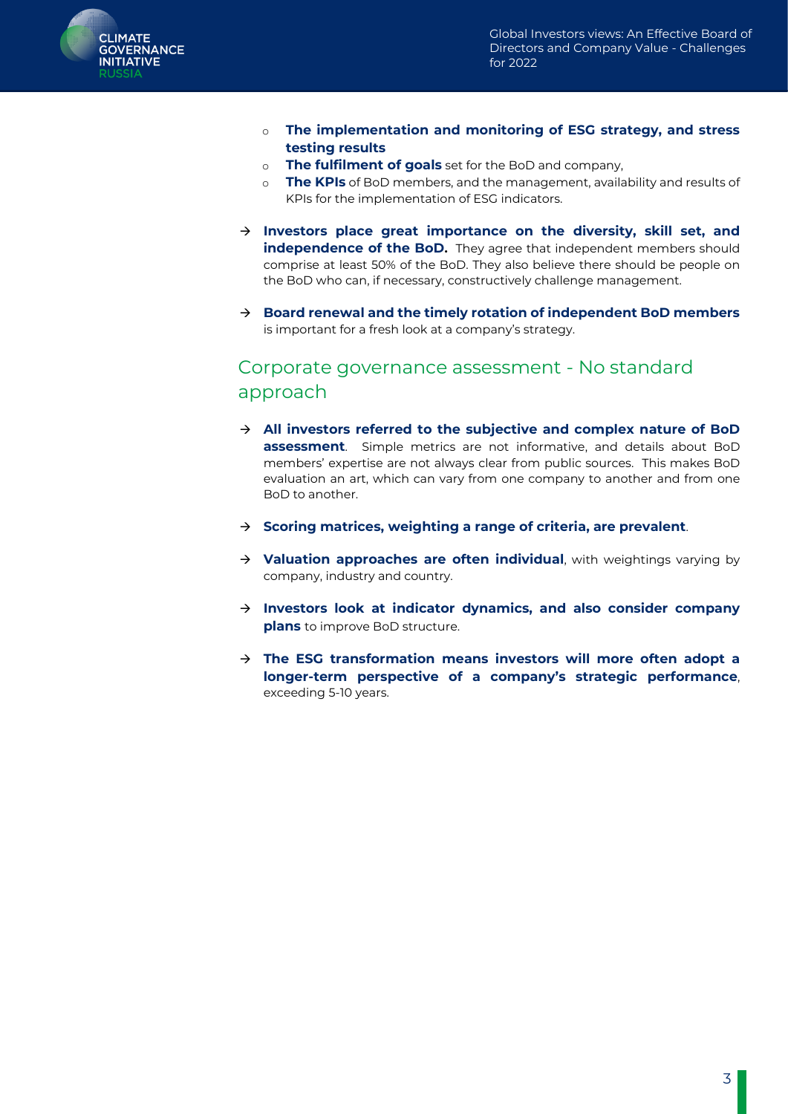

- o **The implementation and monitoring of ESG strategy, and stress testing results**
- o **The fulfilment of goals** set for the BoD and company,
- o **The KPIs** of BoD members, and the management, availability and results of KPIs for the implementation of ESG indicators.
- → **Investors place great importance on the diversity, skill set, and independence of the BoD.** They agree that independent members should comprise at least 50% of the BoD. They also believe there should be people on the BoD who can, if necessary, constructively challenge management.
- → **Board renewal and the timely rotation of independent BoD members** is important for a fresh look at a company's strategy.

#### Corporate governance assessment - No standard approach

- → **All investors referred to the subjective and complex nature of BoD assessment**. Simple metrics are not informative, and details about BoD members' expertise are not always clear from public sources. This makes BoD evaluation an art, which can vary from one company to another and from one BoD to another.
- → **Scoring matrices, weighting a range of criteria, are prevalent**.
- → **Valuation approaches are often individual**, with weightings varying by company, industry and country.
- → **Investors look at indicator dynamics, and also consider company plans** to improve BoD structure.
- → **The ESG transformation means investors will more often adopt a longer-term perspective of a company's strategic performance**, exceeding 5-10 years.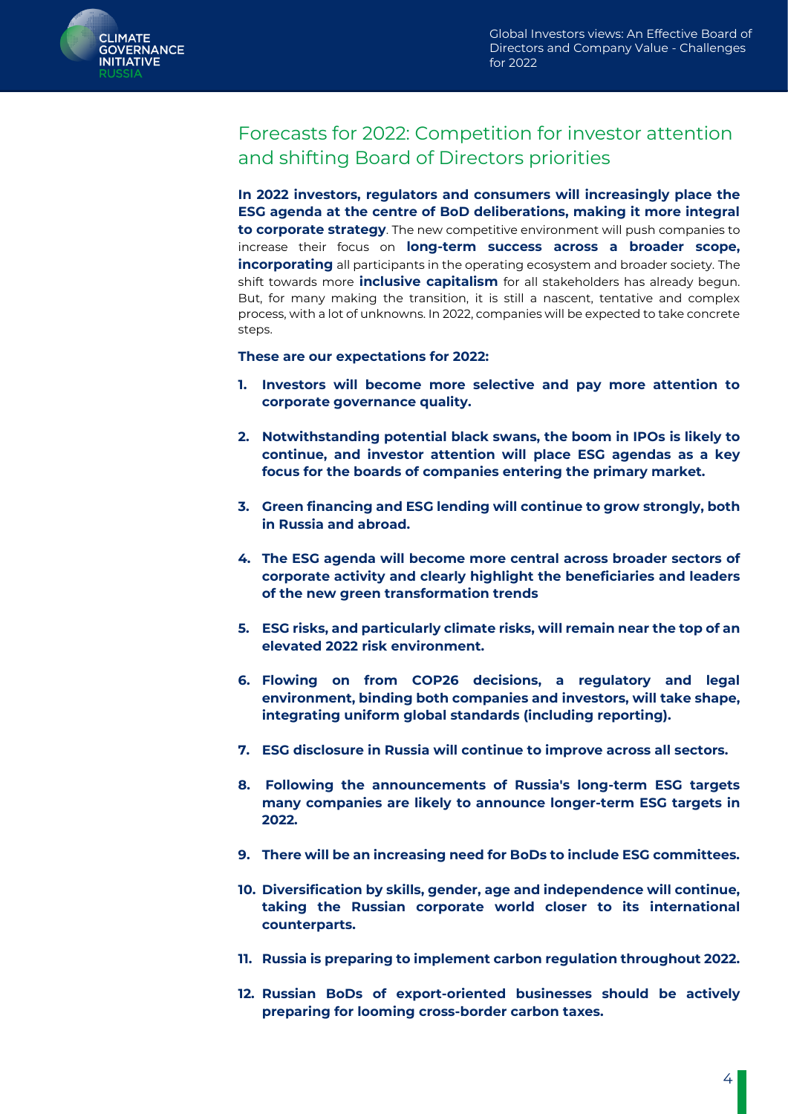

### Forecasts for 2022: Competition for investor attention and shifting Board of Directors priorities

**In 2022 investors, regulators and consumers will increasingly place the ESG agenda at the centre of BoD deliberations, making it more integral to corporate strategy**. The new competitive environment will push companies to increase their focus on **long-term success across a broader scope, incorporating** all participants in the operating ecosystem and broader society. The shift towards more **inclusive capitalism** for all stakeholders has already begun. But, for many making the transition, it is still a nascent, tentative and complex process, with a lot of unknowns. In 2022, companies will be expected to take concrete steps.

**These are our expectations for 2022:**

- **1. Investors will become more selective and pay more attention to corporate governance quality.**
- **2. Notwithstanding potential black swans, the boom in IPOs is likely to continue, and investor attention will place ESG agendas as a key focus for the boards of companies entering the primary market.**
- **3. Green financing and ESG lending will continue to grow strongly, both in Russia and abroad.**
- **4. The ESG agenda will become more central across broader sectors of corporate activity and clearly highlight the beneficiaries and leaders of the new green transformation trends**
- **5. ESG risks, and particularly climate risks, will remain near the top of an elevated 2022 risk environment.**
- **6. Flowing on from COP26 decisions, a regulatory and legal environment, binding both companies and investors, will take shape, integrating uniform global standards (including reporting).**
- **7. ESG disclosure in Russia will continue to improve across all sectors.**
- **8. Following the announcements of Russia's long-term ESG targets many companies are likely to announce longer-term ESG targets in 2022.**
- **9. There will be an increasing need for BoDs to include ESG committees.**
- **10. Diversification by skills, gender, age and independence will continue, taking the Russian corporate world closer to its international counterparts.**
- **11. Russia is preparing to implement carbon regulation throughout 2022.**
- <span id="page-4-0"></span>**12. Russian BoDs of export-oriented businesses should be actively preparing for looming cross-border carbon taxes.**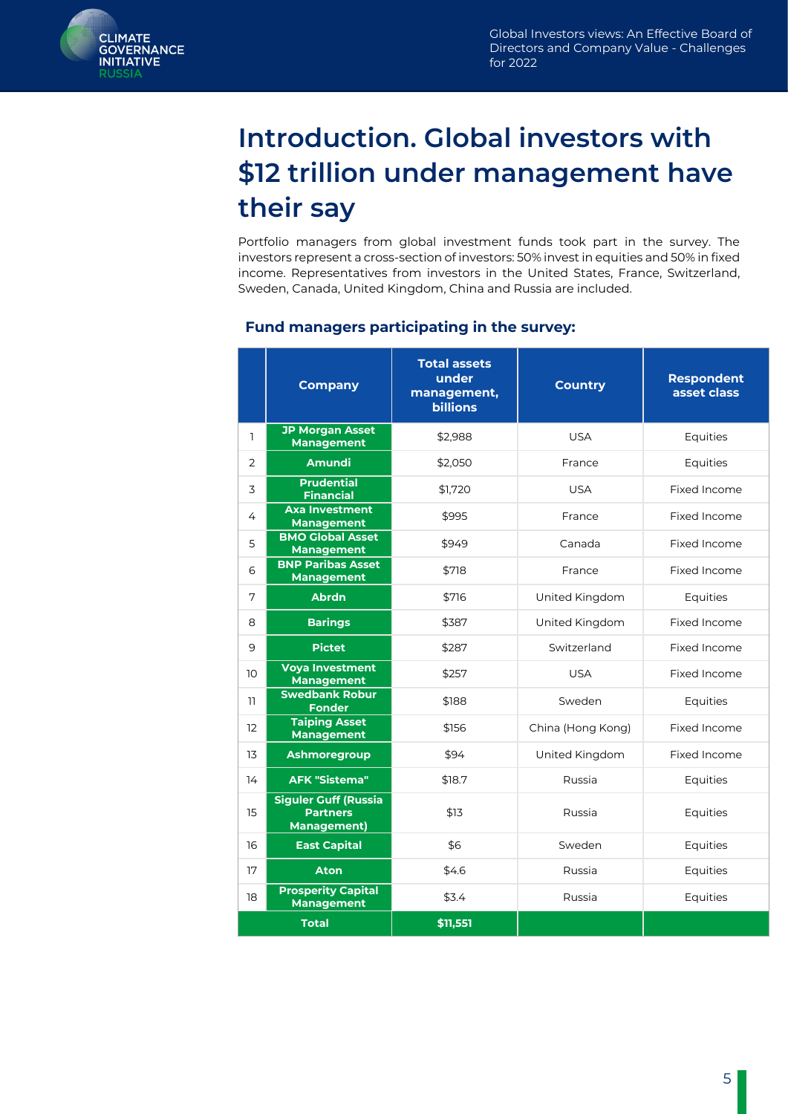

# **Introduction. Global investors with \$12 trillion under management have their say**

Portfolio managers from global investment funds took part in the survey. The investors represent a cross-section of investors: 50% invest in equities and 50% in fixed income. Representatives from investors in the United States, France, Switzerland, Sweden, Canada, United Kingdom, China and Russia are included.

|              | <b>Company</b>                                                       | <b>Total assets</b><br>under<br>management,<br><b>billions</b> | <b>Country</b>    | <b>Respondent</b><br>asset class |
|--------------|----------------------------------------------------------------------|----------------------------------------------------------------|-------------------|----------------------------------|
| $\mathbf{1}$ | <b>JP Morgan Asset</b><br><b>Management</b>                          | \$2,988                                                        | <b>USA</b>        | Equities                         |
| 2            | <b>Amundi</b>                                                        | \$2.050                                                        | France            | Equities                         |
| 3            | <b>Prudential</b><br><b>Financial</b>                                | \$1,720                                                        | <b>USA</b>        | Fixed Income                     |
| 4            | <b>Axa Investment</b><br><b>Management</b>                           | \$995                                                          | France            | Fixed Income                     |
| 5            | <b>BMO Global Asset</b><br><b>Management</b>                         | \$949                                                          | Canada            | Fixed Income                     |
| 6            | <b>BNP Paribas Asset</b><br><b>Management</b>                        | \$718                                                          | France            | Fixed Income                     |
| 7            | <b>Abrdn</b>                                                         | \$716                                                          | United Kingdom    | Equities                         |
| 8            | <b>Barings</b>                                                       | \$387                                                          | United Kingdom    | Fixed Income                     |
| 9            | <b>Pictet</b>                                                        | \$287                                                          | Switzerland       | Fixed Income                     |
| 10           | <b>Voya Investment</b><br><b>Management</b>                          | \$257                                                          | <b>USA</b>        | Fixed Income                     |
| 11           | <b>Swedbank Robur</b><br><b>Fonder</b>                               | \$188                                                          | Sweden            | Equities                         |
| 12           | <b>Taiping Asset</b><br><b>Management</b>                            | \$156                                                          | China (Hong Kong) | Fixed Income                     |
| 13           | Ashmoregroup                                                         | \$94                                                           | United Kingdom    | Fixed Income                     |
| 14           | <b>AFK "Sistema"</b>                                                 | \$18.7                                                         | Russia            | Equities                         |
| 15           | <b>Siguler Guff (Russia</b><br><b>Partners</b><br><b>Management)</b> | \$13                                                           | Russia            | Equities                         |
| 16           | <b>East Capital</b>                                                  | \$6                                                            | Sweden            | Equities                         |
| 17           | <b>Aton</b>                                                          | \$4.6                                                          | Russia            | Equities                         |
| 18           | <b>Prosperity Capital</b><br><b>Management</b>                       | \$3.4                                                          | Russia            | Equities                         |
|              | <b>Total</b>                                                         | \$11,551                                                       |                   |                                  |

#### **Fund managers participating in the survey:**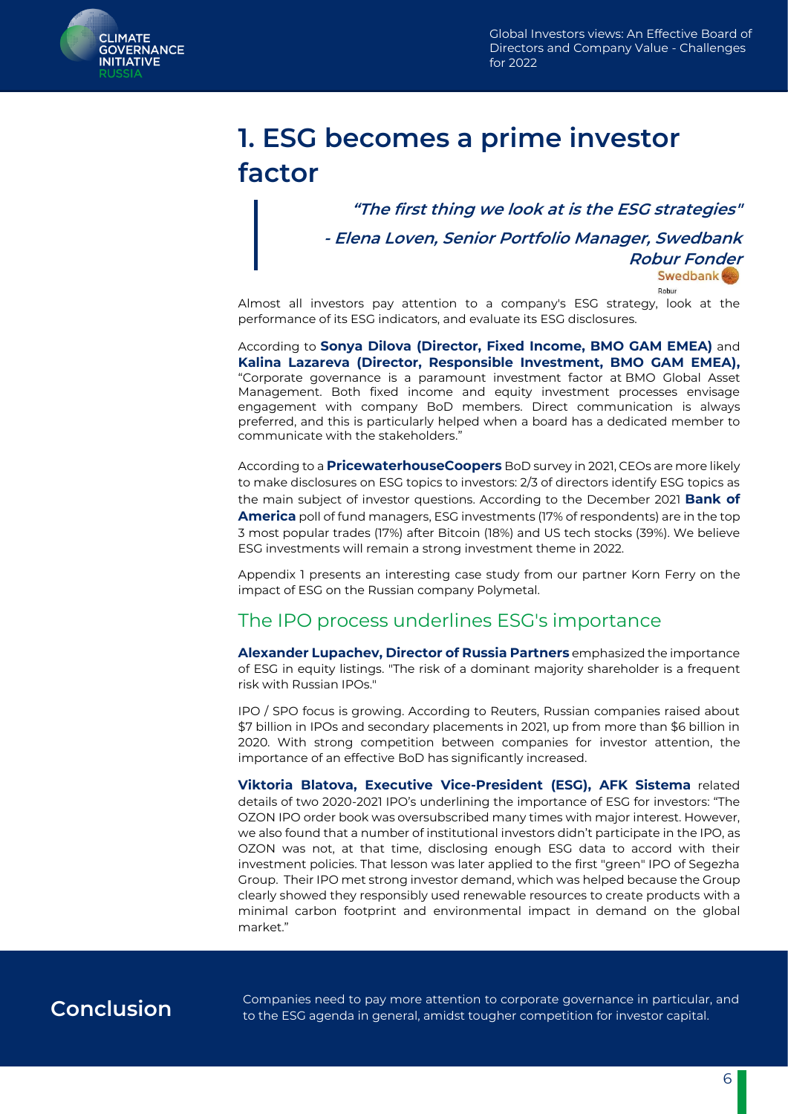<span id="page-6-0"></span>

# **1. ESG becomes a prime investor factor**

**"The first thing we look at is the ESG strategies"** 

**- Elena Loven, Senior Portfolio Manager, Swedbank** 

**Robur Fonder Swedbank** 

Robur

Almost all investors pay attention to a company's ESG strategy, look at the performance of its ESG indicators, and evaluate its ESG disclosures.

According to **Sonya Dilova (Director, Fixed Income, BMO GAM EMEA)** and **Kalina Lazareva (Director, Responsible Investment, BMO GAM EMEA),** "Corporate governance is a paramount investment factor at BMO Global Asset Management. Both fixed income and equity investment processes envisage engagement with company BoD members. Direct communication is always preferred, and this is particularly helped when a board has a dedicated member to communicate with the stakeholders."

According to a **PricewaterhouseCoopers** BoD survey in 2021, CEOs are more likely to make disclosures on ESG topics to investors: 2/3 of directors identify ESG topics as the main subject of investor questions. According to the December 2021 **Bank of America** poll of fund managers, ESG investments (17% of respondents) are in the top 3 most popular trades (17%) after Bitcoin (18%) and US tech stocks (39%). We believe ESG investments will remain a strong investment theme in 2022.

Appendix 1 presents an interesting case study from our partner Korn Ferry on the impact of ESG on the Russian company Polymetal.

#### The IPO process underlines ESG's importance

**Alexander Lupachev, Director of Russia Partners** emphasized the importance of ESG in equity listings. "The risk of a dominant majority shareholder is a frequent risk with Russian IPOs."

IPO / SPO focus is growing. According to Reuters, Russian companies raised about \$7 billion in IPOs and secondary placements in 2021, up from more than \$6 billion in 2020. With strong competition between companies for investor attention, the importance of an effective BoD has significantly increased.

**Viktoria Blatova, Executive Vice-President (ESG), AFK Sistema** related details of two 2020-2021 IPO's underlining the importance of ESG for investors: "The OZON IPO order book was oversubscribed many times with major interest. However, we also found that a number of institutional investors didn't participate in the IPO, as OZON was not, at that time, disclosing enough ESG data to accord with their investment policies. That lesson was later applied to the first "green" IPO of Segezha Group. Their IPO met strong investor demand, which was helped because the Group clearly showed they responsibly used renewable resources to create products with a minimal carbon footprint and environmental impact in demand on the global market."

**Conclusion** Companies need to pay more attention to corporate governance in particular, and<br>**CONCLUSION** to the ESS cannots in general emidat to unhar compatition for investor conital to the ESG agenda in general, amidst tougher competition for investor capital.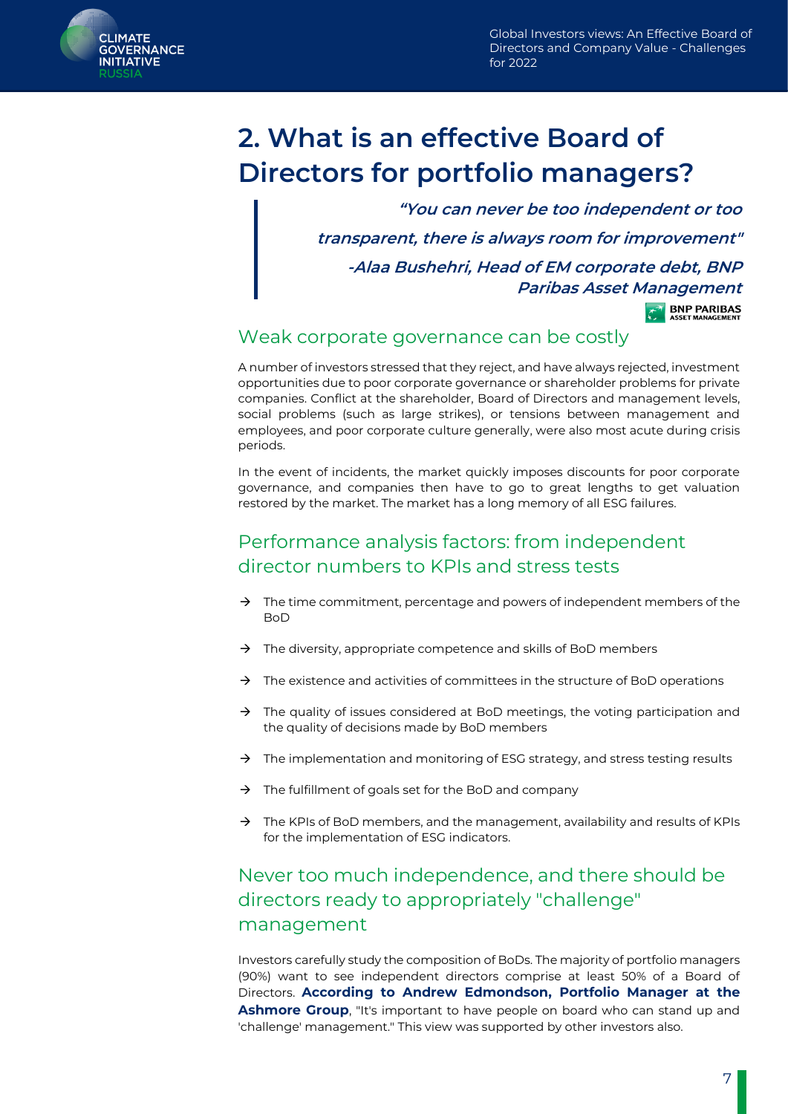<span id="page-7-0"></span>

# **2. What is an effective Board of Directors for portfolio managers?**

**"You can never be too independent or too transparent, there is always room for improvement" -Alaa Bushehri, Head of EM corporate debt, BNP Paribas Asset Management**

**BNP PARIBAS** 

#### Weak corporate governance can be costly

A number of investors stressed that they reject, and have always rejected, investment opportunities due to poor corporate governance or shareholder problems for private companies. Conflict at the shareholder, Board of Directors and management levels, social problems (such as large strikes), or tensions between management and employees, and poor corporate culture generally, were also most acute during crisis periods.

In the event of incidents, the market quickly imposes discounts for poor corporate governance, and companies then have to go to great lengths to get valuation restored by the market. The market has a long memory of all ESG failures.

#### Performance analysis factors: from independent director numbers to KPIs and stress tests

- $\rightarrow$  The time commitment, percentage and powers of independent members of the BoD
- $\rightarrow$  The diversity, appropriate competence and skills of BoD members
- $\rightarrow$  The existence and activities of committees in the structure of BoD operations
- $\rightarrow$  The quality of issues considered at BoD meetings, the voting participation and the quality of decisions made by BoD members
- $\rightarrow$  The implementation and monitoring of ESG strategy, and stress testing results
- The fulfillment of goals set for the BoD and company
- $\rightarrow$  The KPIs of BoD members, and the management, availability and results of KPIs for the implementation of ESG indicators.

### Never too much independence, and there should be directors ready to appropriately "challenge" management

Investors carefully study the composition of BoDs. The majority of portfolio managers (90%) want to see independent directors comprise at least 50% of a Board of Directors. **According to Andrew Edmondson, Portfolio Manager at the Ashmore Group**, "It's important to have people on board who can stand up and 'challenge' management." This view was supported by other investors also.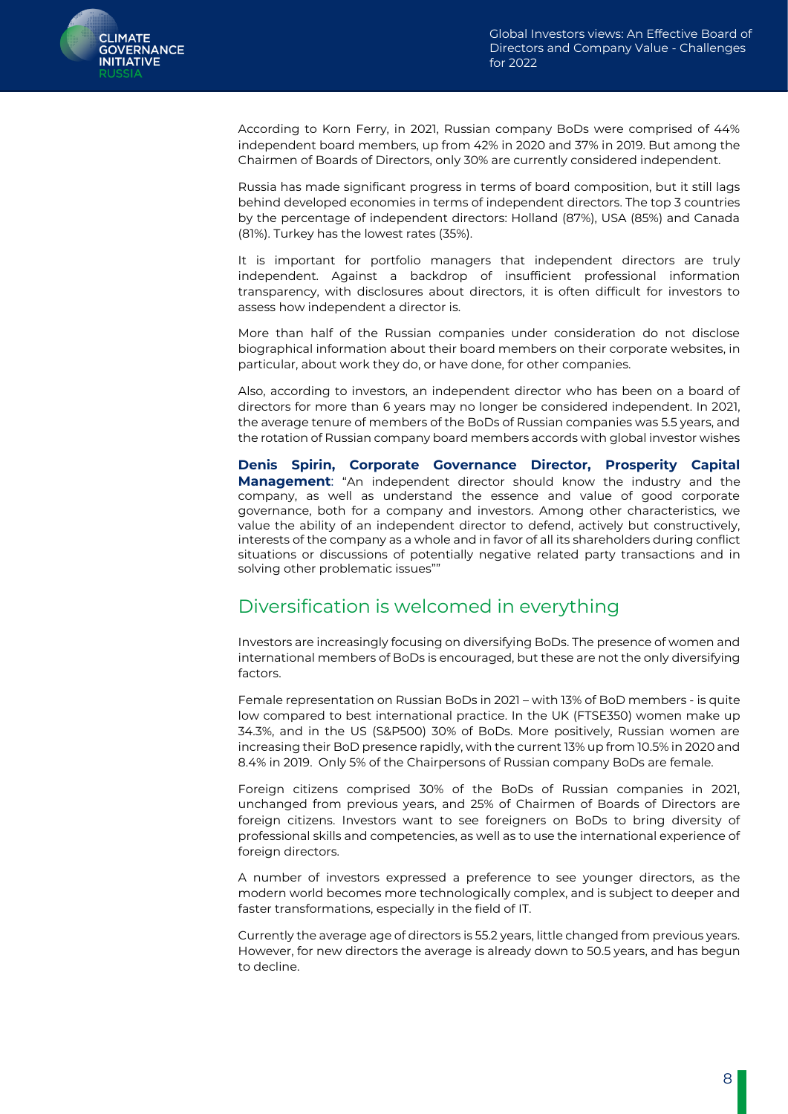According to Korn Ferry, in 2021, Russian company BoDs were comprised of 44% independent board members, up from 42% in 2020 and 37% in 2019. But among the Chairmen of Boards of Directors, only 30% are currently considered independent.

Russia has made significant progress in terms of board composition, but it still lags behind developed economies in terms of independent directors. The top 3 countries by the percentage of independent directors: Holland (87%), USA (85%) and Canada (81%). Turkey has the lowest rates (35%).

It is important for portfolio managers that independent directors are truly independent. Against a backdrop of insufficient professional information transparency, with disclosures about directors, it is often difficult for investors to assess how independent a director is.

More than half of the Russian companies under consideration do not disclose biographical information about their board members on their corporate websites, in particular, about work they do, or have done, for other companies.

Also, according to investors, an independent director who has been on a board of directors for more than 6 years may no longer be considered independent. In 2021, the average tenure of members of the BoDs of Russian companies was 5.5 years, and the rotation of Russian company board members accords with global investor wishes

**Denis Spirin, Corporate Governance Director, Prosperity Capital Management**: "An independent director should know the industry and the company, as well as understand the essence and value of good corporate governance, both for a company and investors. Among other characteristics, we value the ability of an independent director to defend, actively but constructively, interests of the company as a whole and in favor of all its shareholders during conflict situations or discussions of potentially negative related party transactions and in solving other problematic issues""

### Diversification is welcomed in everything

Investors are increasingly focusing on diversifying BoDs. The presence of women and international members of BoDs is encouraged, but these are not the only diversifying factors.

Female representation on Russian BoDs in 2021 – with 13% of BoD members - is quite low compared to best international practice. In the UK (FTSE350) women make up 34.3%, and in the US (S&P500) 30% of BoDs. More positively, Russian women are increasing their BoD presence rapidly, with the current 13% up from 10.5% in 2020 and 8.4% in 2019. Only 5% of the Chairpersons of Russian company BoDs are female.

Foreign citizens comprised 30% of the BoDs of Russian companies in 2021, unchanged from previous years, and 25% of Chairmen of Boards of Directors are foreign citizens. Investors want to see foreigners on BoDs to bring diversity of professional skills and competencies, as well as to use the international experience of foreign directors.

A number of investors expressed a preference to see younger directors, as the modern world becomes more technologically complex, and is subject to deeper and faster transformations, especially in the field of IT.

Currently the average age of directors is 55.2 years, little changed from previous years. However, for new directors the average is already down to 50.5 years, and has begun to decline.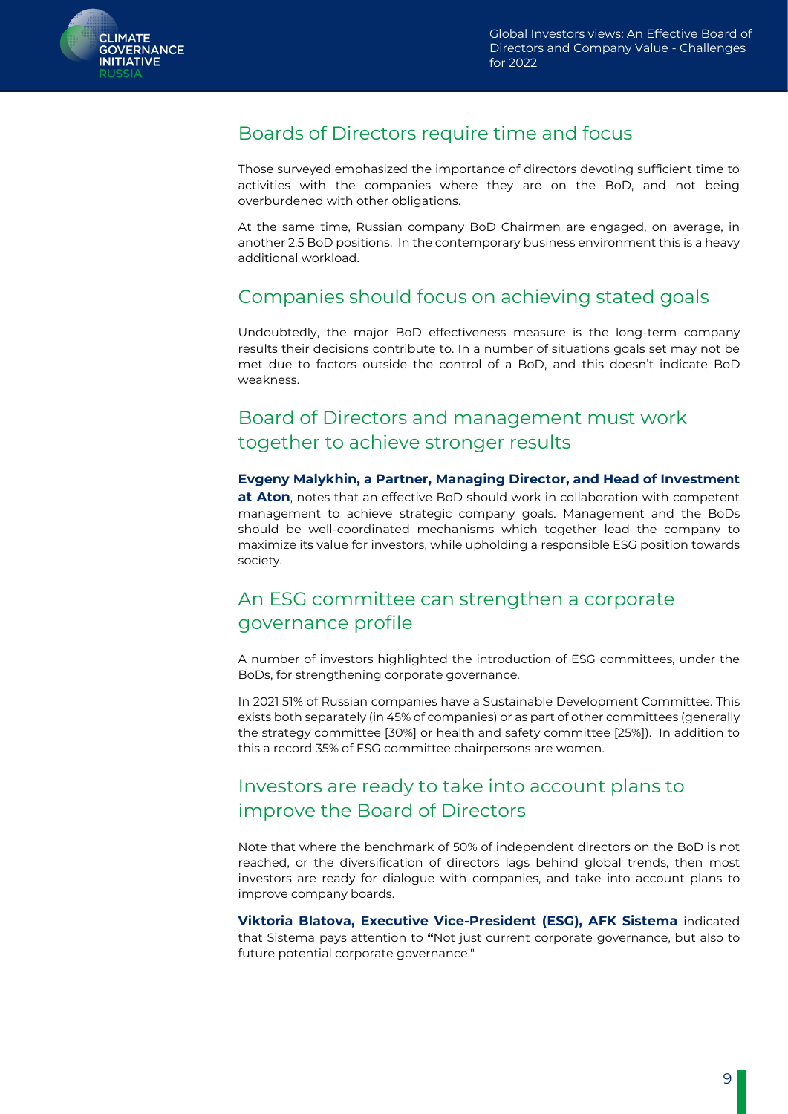

#### Boards of Directors require time and focus

Those surveyed emphasized the importance of directors devoting sufficient time to activities with the companies where they are on the BoD, and not being overburdened with other obligations.

At the same time, Russian company BoD Chairmen are engaged, on average, in another 2.5 BoD positions. In the contemporary business environment this is a heavy additional workload.

#### Companies should focus on achieving stated goals

Undoubtedly, the major BoD effectiveness measure is the long-term company results their decisions contribute to. In a number of situations goals set may not be met due to factors outside the control of a BoD, and this doesn't indicate BoD weakness.

### Board of Directors and management must work together to achieve stronger results

#### **Evgeny Malykhin, a Partner, Managing Director, and Head of Investment**

**at Aton**, notes that an effective BoD should work in collaboration with competent management to achieve strategic company goals. Management and the BoDs should be well-coordinated mechanisms which together lead the company to maximize its value for investors, while upholding a responsible ESG position towards society.

### An ESG committee can strengthen a corporate governance profile

A number of investors highlighted the introduction of ESG committees, under the BoDs, for strengthening corporate governance.

In 2021 51% of Russian companies have a Sustainable Development Committee. This exists both separately (in 45% of companies) or as part of other committees (generally the strategy committee [30%] or health and safety committee [25%]). In addition to this a record 35% of ESG committee chairpersons are women.

#### Investors are ready to take into account plans to improve the Board of Directors

Note that where the benchmark of 50% of independent directors on the BoD is not reached, or the diversification of directors lags behind global trends, then most investors are ready for dialogue with companies, and take into account plans to improve company boards.

**Viktoria Blatova, Executive Vice-President (ESG), AFK Sistema** indicated that Sistema pays attention to **"**Not just current corporate governance, but also to future potential corporate governance."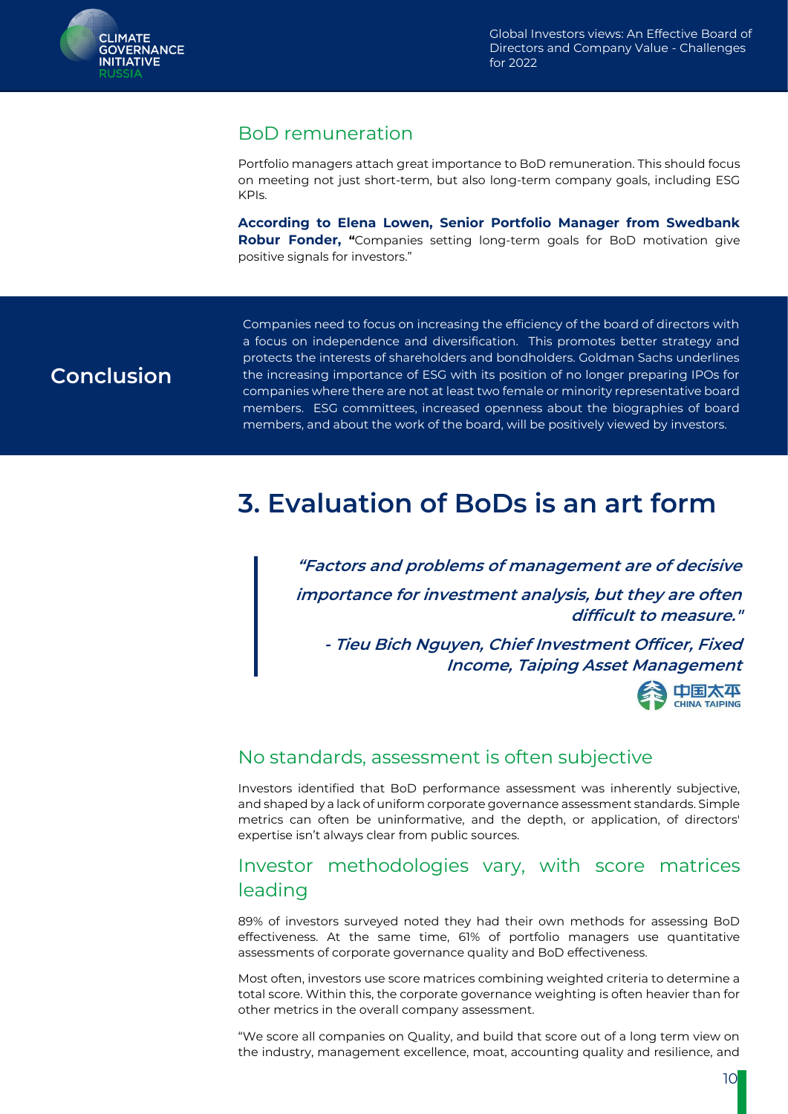

#### BoD remuneration

Portfolio managers attach great importance to BoD remuneration. This should focus on meeting not just short-term, but also long-term company goals, including ESG KPIs.

**According to Elena Lowen, Senior Portfolio Manager from Swedbank Robur Fonder, "**Companies setting long-term goals for BoD motivation give positive signals for investors."

### <span id="page-10-0"></span>**Conclusion**

Companies need to focus on increasing the efficiency of the board of directors with a focus on independence and diversification. This promotes better strategy and protects the interests of shareholders and bondholders. Goldman Sachs underlines the increasing importance of ESG with its position of no longer preparing IPOs for companies where there are not at least two female or minority representative board members. ESG committees, increased openness about the biographies of board members, and about the work of the board, will be positively viewed by investors.

# **3. Evaluation of BoDs is an art form**

**"Factors and problems of management are of decisive importance for investment analysis, but they are often difficult to measure."**

**- Tieu Bich Nguyen, Chief Investment Officer, Fixed Income, Taiping Asset Management**



#### No standards, assessment is often subjective

Investors identified that BoD performance assessment was inherently subjective, and shaped by a lack of uniform corporate governance assessment standards. Simple metrics can often be uninformative, and the depth, or application, of directors' expertise isn't always clear from public sources.

#### Investor methodologies vary, with score matrices leading

89% of investors surveyed noted they had their own methods for assessing BoD effectiveness. At the same time, 61% of portfolio managers use quantitative assessments of corporate governance quality and BoD effectiveness.

Most often, investors use score matrices combining weighted criteria to determine a total score. Within this, the corporate governance weighting is often heavier than for other metrics in the overall company assessment.

"We score all companies on Quality, and build that score out of a long term view on the industry, management excellence, moat, accounting quality and resilience, and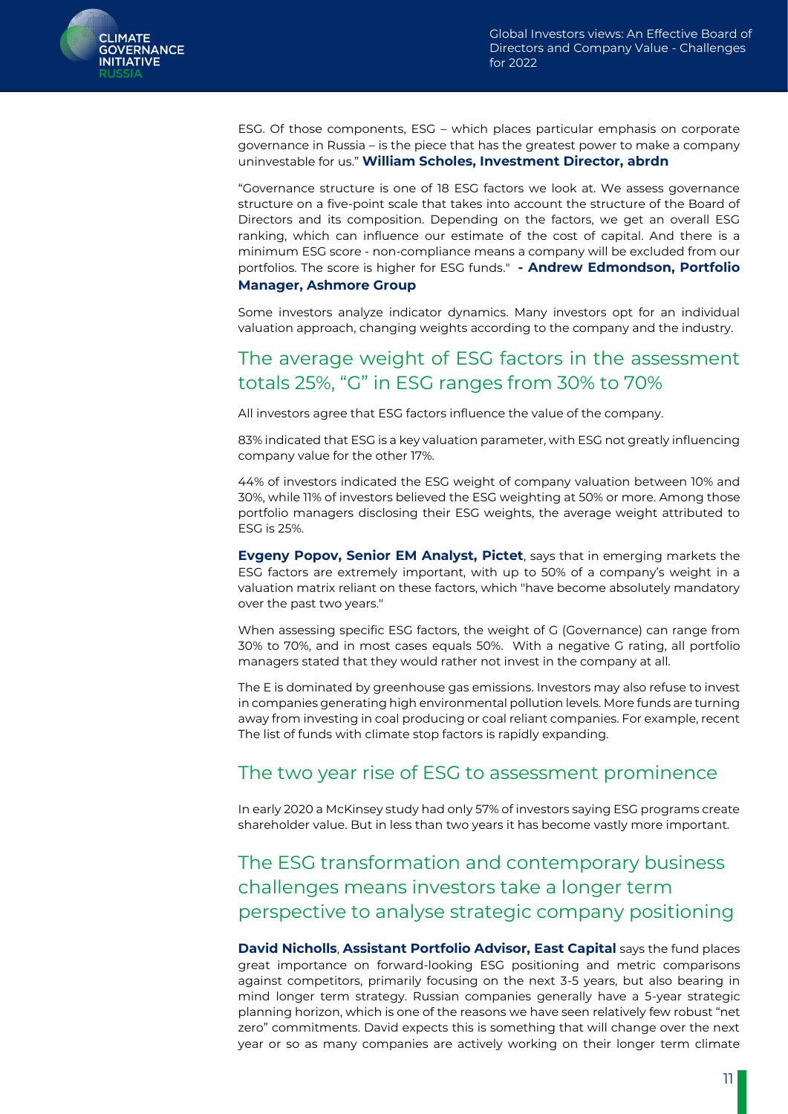

ESG. Of those components, ESG – which places particular emphasis on corporate governance in Russia – is the piece that has the greatest power to make a company uninvestable for us." **William Scholes, Investment Director, abrdn**

"Governance structure is one of 18 ESG factors we look at. We assess governance structure on a five-point scale that takes into account the structure of the Board of Directors and its composition. Depending on the factors, we get an overall ESG ranking, which can influence our estimate of the cost of capital. And there is a minimum ESG score - non-compliance means a company will be excluded from our portfolios. The score is higher for ESG funds." **- Andrew Edmondson, Portfolio Manager, Ashmore Group** 

Some investors analyze indicator dynamics. Many investors opt for an individual valuation approach, changing weights according to the company and the industry.

#### The average weight of ESG factors in the assessment totals 25%, "G" in ESG ranges from 30% to 70%

All investors agree that ESG factors influence the value of the company.

83% indicated that ESG is a key valuation parameter, with ESG not greatly influencing company value for the other 17%.

44% of investors indicated the ESG weight of company valuation between 10% and 30%, while 11% of investors believed the ESG weighting at 50% or more. Among those portfolio managers disclosing their ESG weights, the average weight attributed to ESG is 25%.

**Evgeny Popov, Senior EM Analyst, Pictet**, says that in emerging markets the ESG factors are extremely important, with up to 50% of a company's weight in a valuation matrix reliant on these factors, which "have become absolutely mandatory over the past two years."

When assessing specific ESG factors, the weight of G (Governance) can range from 30% to 70%, and in most cases equals 50%. With a negative G rating, all portfolio managers stated that they would rather not invest in the company at all.

The E is dominated by greenhouse gas emissions. Investors may also refuse to invest in companies generating high environmental pollution levels. More funds are turning away from investing in coal producing or coal reliant companies. For example, recent The list of funds with climate stop factors is rapidly expanding.

#### The two year rise of ESG to assessment prominence

In early 2020 a McKinsey study had only 57% of investors saying ESG programs create shareholder value. But in less than two years it has become vastly more important.

### The ESG transformation and contemporary business challenges means investors take a longer term perspective to analyse strategic company positioning

**David Nicholls**, **Assistant Portfolio Advisor, East Capital** says the fund places great importance on forward-looking ESG positioning and metric comparisons against competitors, primarily focusing on the next 3-5 years, but also bearing in mind longer term strategy. Russian companies generally have a 5-year strategic planning horizon, which is one of the reasons we have seen relatively few robust "net zero" commitments. David expects this is something that will change over the next year or so as many companies are actively working on their longer term climate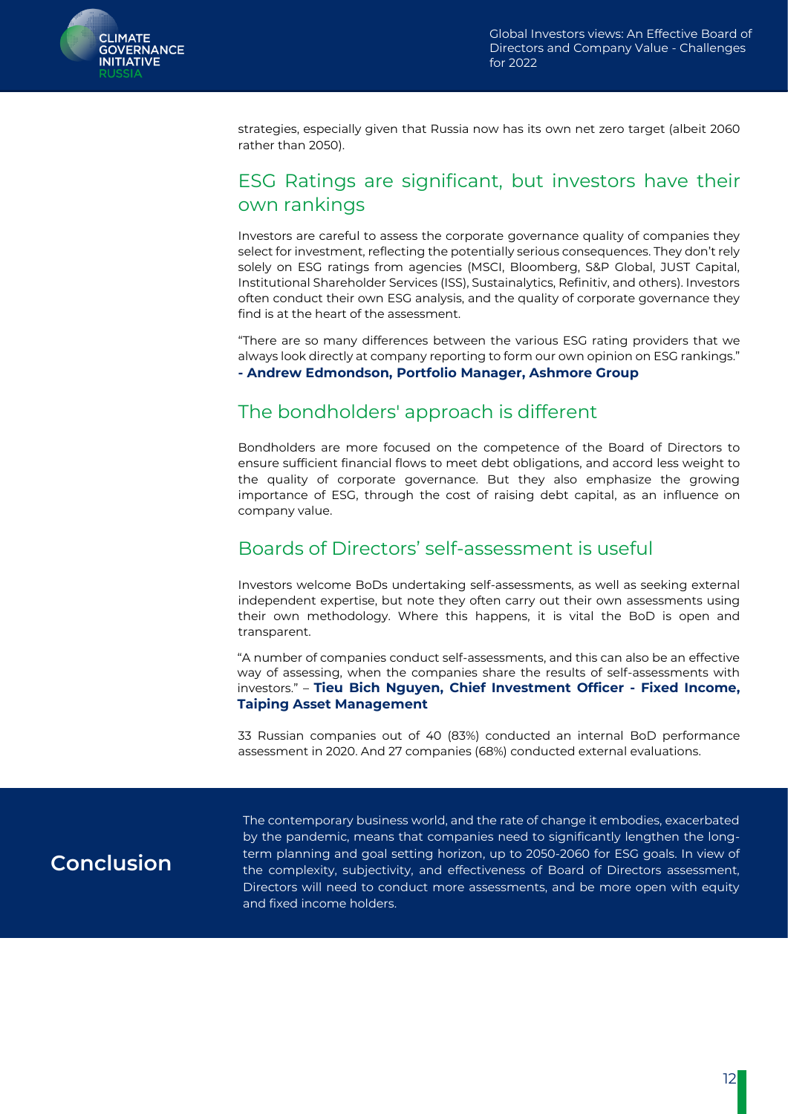

strategies, especially given that Russia now has its own net zero target (albeit 2060 rather than 2050).

#### ESG Ratings are significant, but investors have their own rankings

Investors are careful to assess the corporate governance quality of companies they select for investment, reflecting the potentially serious consequences. They don't rely solely on ESG ratings from agencies (MSCI, Bloomberg, S&P Global, JUST Capital, Institutional Shareholder Services (ISS), Sustainalytics, Refinitiv, and others). Investors often conduct their own ESG analysis, and the quality of corporate governance they find is at the heart of the assessment.

"There are so many differences between the various ESG rating providers that we always look directly at company reporting to form our own opinion on ESG rankings." **- Andrew Edmondson, Portfolio Manager, Ashmore Group**

### The bondholders' approach is different

Bondholders are more focused on the competence of the Board of Directors to ensure sufficient financial flows to meet debt obligations, and accord less weight to the quality of corporate governance. But they also emphasize the growing importance of ESG, through the cost of raising debt capital, as an influence on company value.

#### Boards of Directors' self-assessment is useful

Investors welcome BoDs undertaking self-assessments, as well as seeking external independent expertise, but note they often carry out their own assessments using their own methodology. Where this happens, it is vital the BoD is open and transparent.

"A number of companies conduct self-assessments, and this can also be an effective way of assessing, when the companies share the results of self-assessments with investors." – **Tieu Bich Nguyen, Chief Investment Officer - Fixed Income, Taiping Asset Management** 

33 Russian companies out of 40 (83%) conducted an internal BoD performance assessment in 2020. And 27 companies (68%) conducted external evaluations.

## <span id="page-12-0"></span>**Conclusion**

The contemporary business world, and the rate of change it embodies, exacerbated by the pandemic, means that companies need to significantly lengthen the longterm planning and goal setting horizon, up to 2050-2060 for ESG goals. In view of the complexity, subjectivity, and effectiveness of Board of Directors assessment, Directors will need to conduct more assessments, and be more open with equity and fixed income holders.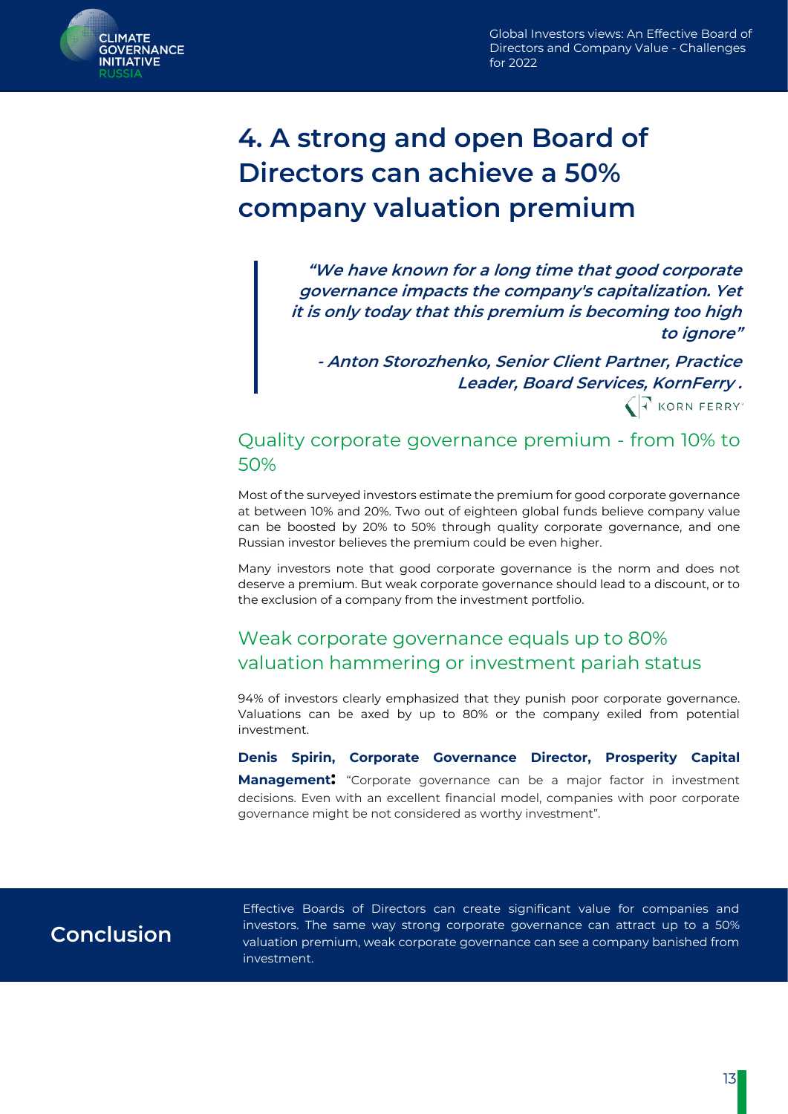

# **4. A strong and open Board of Directors can achieve a 50% company valuation premium**

**"We have known for a long time that good corporate governance impacts the company's capitalization. Yet it is only today that this premium is becoming too high to ignore"**

**- Anton Storozhenko, Senior Client Partner, Practice Leader, Board Services, KornFerry .**   $\left\langle \left| \right| \right\rangle$  KORN FERRY'

#### Quality corporate governance premium - from 10% to 50%

Most of the surveyed investors estimate the premium for good corporate governance at between 10% and 20%. Two out of eighteen global funds believe company value can be boosted by 20% to 50% through quality corporate governance, and one Russian investor believes the premium could be even higher.

Many investors note that good corporate governance is the norm and does not deserve a premium. But weak corporate governance should lead to a discount, or to the exclusion of a company from the investment portfolio.

### Weak corporate governance equals up to 80% valuation hammering or investment pariah status

94% of investors clearly emphasized that they punish poor corporate governance. Valuations can be axed by up to 80% or the company exiled from potential investment.

#### **Denis Spirin, Corporate Governance Director, Prosperity Capital**

**Management:** "Corporate governance can be a major factor in investment decisions. Even with an excellent financial model, companies with poor corporate governance might be not considered as worthy investment".

### <span id="page-13-0"></span>**Conclusion**

Effective Boards of Directors can create significant value for companies and investors. The same way strong corporate governance can attract up to a 50% valuation premium, weak corporate governance can see a company banished from investment.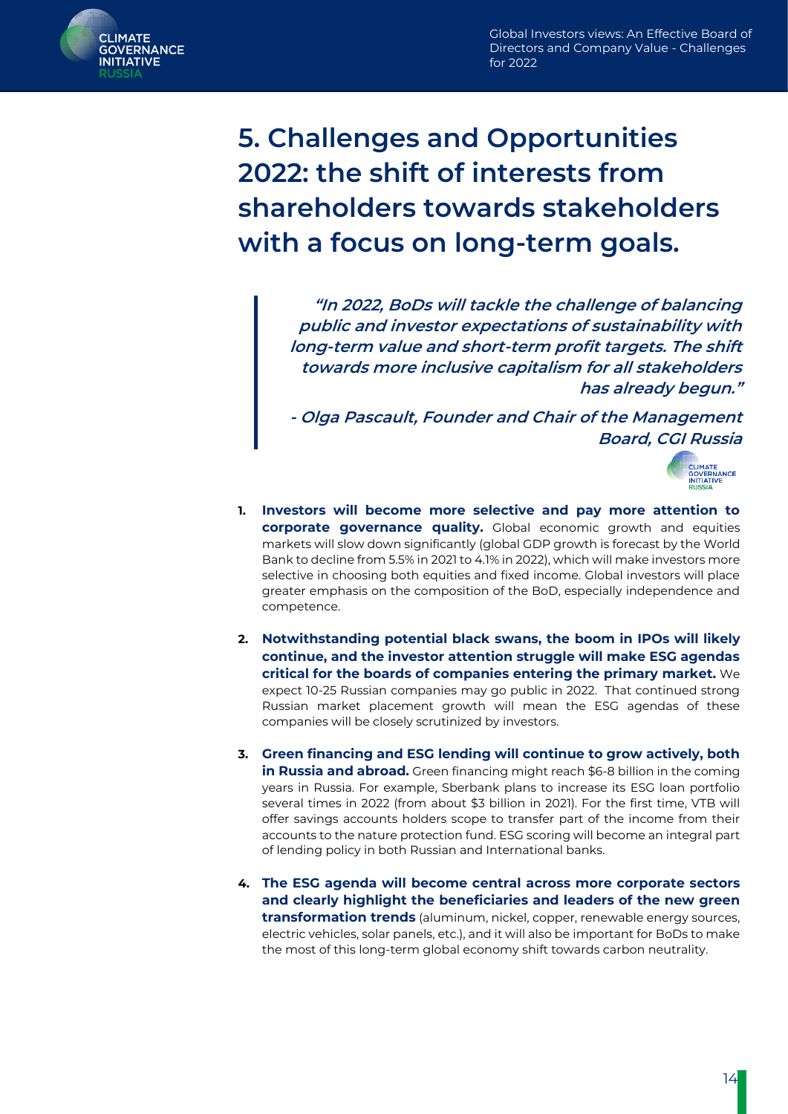

**5. Challenges and Opportunities 2022: the shift of interests from shareholders towards stakeholders with a focus on long-term goals.**

> **"In 2022, BoDs will tackle the challenge of balancing public and investor expectations of sustainability with long-term value and short-term profit targets. The shift towards more inclusive capitalism for all stakeholders has already begun."**

> **- Olga Pascault, Founder and Chair of the Management Board, CGI Russia**



- **1. Investors will become more selective and pay more attention to corporate governance quality.** Global economic growth and equities markets will slow down significantly (global GDP growth is forecast by the World Bank to decline from 5.5% in 2021 to 4.1% in 2022), which will make investors more selective in choosing both equities and fixed income. Global investors will place greater emphasis on the composition of the BoD, especially independence and competence.
- **2. Notwithstanding potential black swans, the boom in IPOs will likely continue, and the investor attention struggle will make ESG agendas critical for the boards of companies entering the primary market.** We expect 10-25 Russian companies may go public in 2022. That continued strong Russian market placement growth will mean the ESG agendas of these companies will be closely scrutinized by investors.
- **3. Green financing and ESG lending will continue to grow actively, both in Russia and abroad.** Green financing might reach \$6-8 billion in the coming years in Russia. For example, Sberbank plans to increase its ESG loan portfolio several times in 2022 (from about \$3 billion in 2021). For the first time, VTB will offer savings accounts holders scope to transfer part of the income from their accounts to the nature protection fund. ESG scoring will become an integral part of lending policy in both Russian and International banks.
- **4. The ESG agenda will become central across more corporate sectors and clearly highlight the beneficiaries and leaders of the new green transformation trends** (aluminum, nickel, copper, renewable energy sources, electric vehicles, solar panels, etc.), and it will also be important for BoDs to make the most of this long-term global economy shift towards carbon neutrality.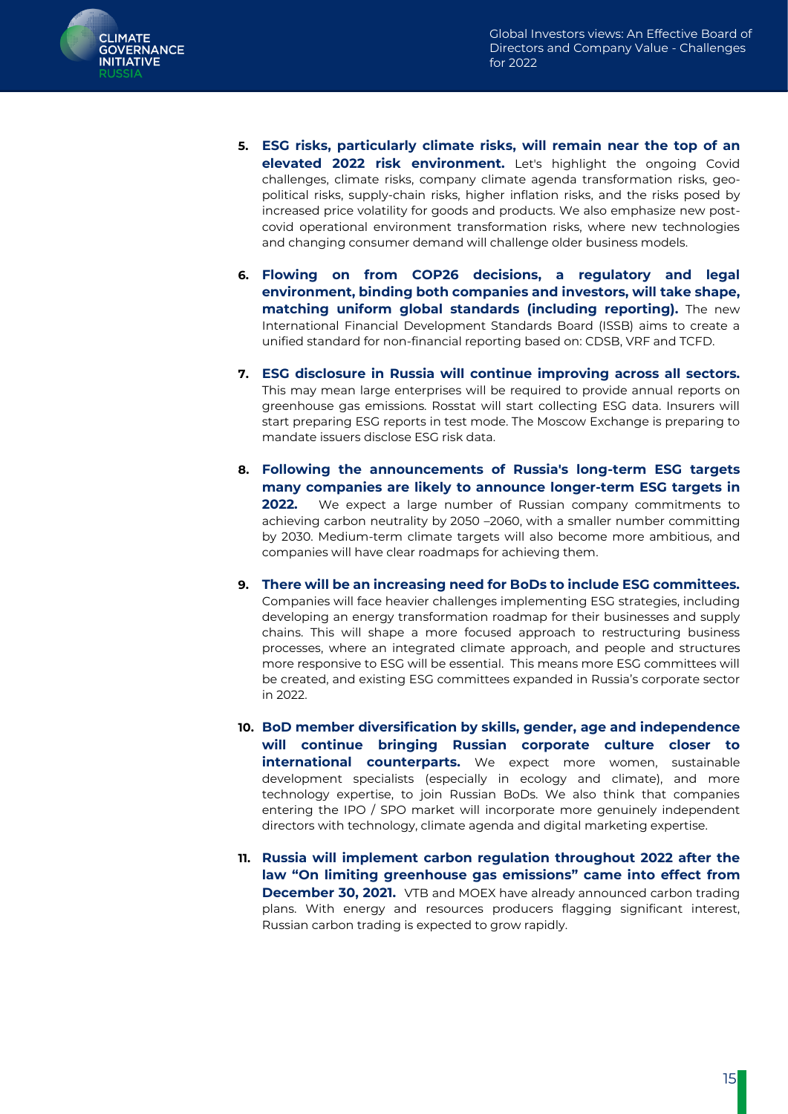

- **5. ESG risks, particularly climate risks, will remain near the top of an elevated 2022 risk environment.** Let's highlight the ongoing Covid challenges, climate risks, company climate agenda transformation risks, geopolitical risks, supply-chain risks, higher inflation risks, and the risks posed by increased price volatility for goods and products. We also emphasize new postcovid operational environment transformation risks, where new technologies and changing consumer demand will challenge older business models.
- **6. Flowing on from COP26 decisions, a regulatory and legal environment, binding both companies and investors, will take shape, matching uniform global standards (including reporting).** The new International Financial Development Standards Board (ISSB) aims to create a unified standard for non-financial reporting based on: CDSB, VRF and TCFD.
- **7. ESG disclosure in Russia will continue improving across all sectors.** This may mean large enterprises will be required to provide annual reports on greenhouse gas emissions. Rosstat will start collecting ESG data. Insurers will start preparing ESG reports in test mode. The Moscow Exchange is preparing to mandate issuers disclose ESG risk data.
- **8. Following the announcements of Russia's long-term ESG targets many companies are likely to announce longer-term ESG targets in 2022.** We expect a large number of Russian company commitments to achieving carbon neutrality by 2050 –2060, with a smaller number committing by 2030. Medium-term climate targets will also become more ambitious, and companies will have clear roadmaps for achieving them.
- **9. There will be an increasing need for BoDs to include ESG committees.** Companies will face heavier challenges implementing ESG strategies, including developing an energy transformation roadmap for their businesses and supply chains. This will shape a more focused approach to restructuring business processes, where an integrated climate approach, and people and structures more responsive to ESG will be essential. This means more ESG committees will be created, and existing ESG committees expanded in Russia's corporate sector in 2022.
- **10. BoD member diversification by skills, gender, age and independence will continue bringing Russian corporate culture closer to international counterparts.** We expect more women, sustainable development specialists (especially in ecology and climate), and more technology expertise, to join Russian BoDs. We also think that companies entering the IPO / SPO market will incorporate more genuinely independent directors with technology, climate agenda and digital marketing expertise.
- **11. Russia will implement carbon regulation throughout 2022 after the law "On limiting greenhouse gas emissions" came into effect from December 30, 2021.** VTB and MOEX have already announced carbon trading plans. With energy and resources producers flagging significant interest, Russian carbon trading is expected to grow rapidly.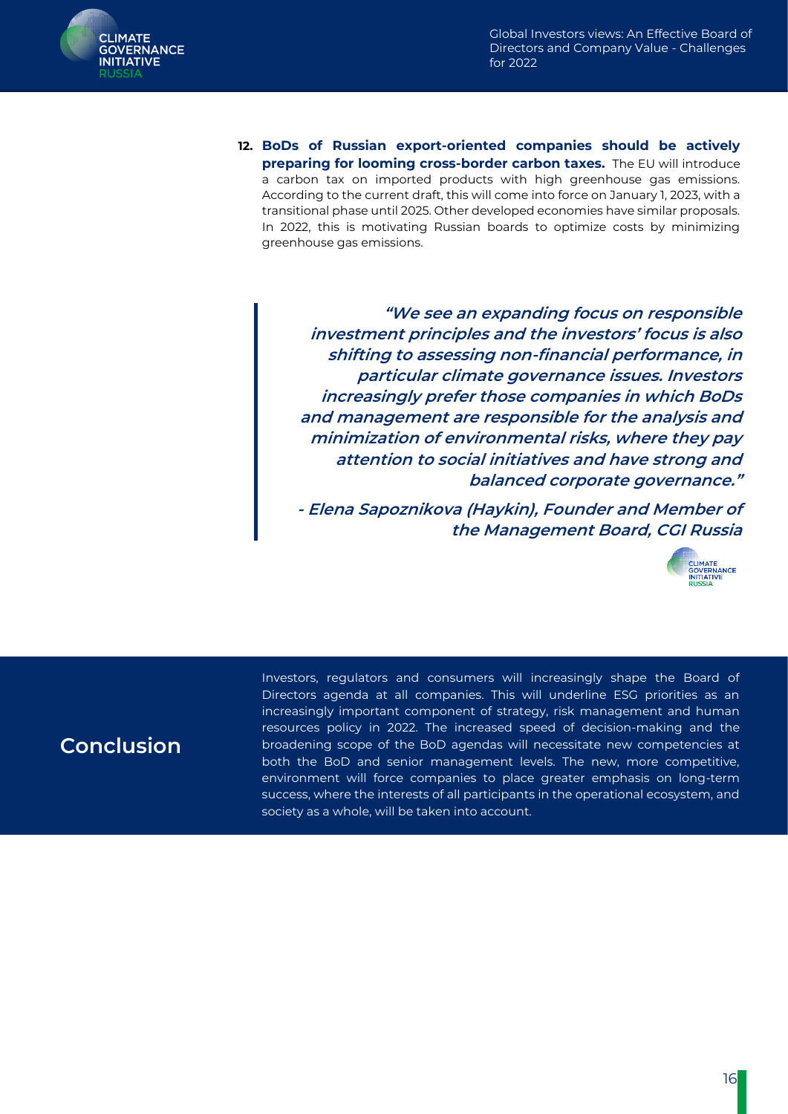

**12. BoDs of Russian export-oriented companies should be actively preparing for looming cross-border carbon taxes.** The EU will introduce a carbon tax on imported products with high greenhouse gas emissions. According to the current draft, this will come into force on January 1, 2023, with a transitional phase until 2025. Other developed economies have similar proposals. In 2022, this is motivating Russian boards to optimize costs by minimizing greenhouse gas emissions.

> **"We see an expanding focus on responsible investment principles and the investors' focus is also shifting to assessing non-financial performance, in particular climate governance issues. Investors increasingly prefer those companies in which BoDs and management are responsible for the analysis and minimization of environmental risks, where they pay attention to social initiatives and have strong and balanced corporate governance."**

> **- Elena Sapoznikova (Haykin), Founder and Member of the Management Board, CGI Russia**



### **Conclusion**

Investors, regulators and consumers will increasingly shape the Board of Directors agenda at all companies. This will underline ESG priorities as an increasingly important component of strategy, risk management and human resources policy in 2022. The increased speed of decision-making and the broadening scope of the BoD agendas will necessitate new competencies at both the BoD and senior management levels. The new, more competitive, environment will force companies to place greater emphasis on long-term success, where the interests of all participants in the operational ecosystem, and society as a whole, will be taken into account.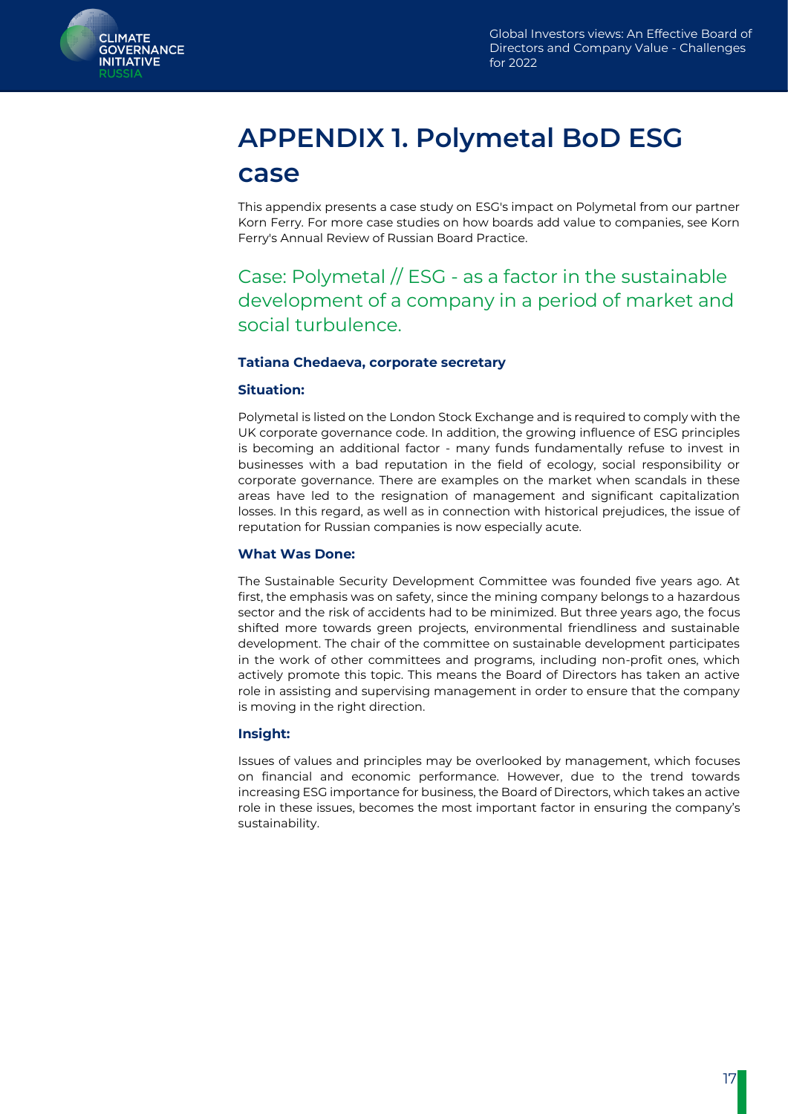<span id="page-17-0"></span>

# **APPENDIX 1. Polymetal BoD ESG case**

This appendix presents a case study on ESG's impact on Polymetal from our partner Korn Ferry. For more case studies on how boards add value to companies, see Korn Ferry's Annual Review of Russian Board Practice.

Case: Polymetal // ESG - as a factor in the sustainable development of a company in a period of market and social turbulence.

#### **Tatiana Chedaeva, corporate secretary**

#### **Situation:**

Polymetal is listed on the London Stock Exchange and is required to comply with the UK corporate governance code. In addition, the growing influence of ESG principles is becoming an additional factor - many funds fundamentally refuse to invest in businesses with a bad reputation in the field of ecology, social responsibility or corporate governance. There are examples on the market when scandals in these areas have led to the resignation of management and significant capitalization losses. In this regard, as well as in connection with historical prejudices, the issue of reputation for Russian companies is now especially acute.

#### **What Was Done:**

The Sustainable Security Development Committee was founded five years ago. At first, the emphasis was on safety, since the mining company belongs to a hazardous sector and the risk of accidents had to be minimized. But three years ago, the focus shifted more towards green projects, environmental friendliness and sustainable development. The chair of the committee on sustainable development participates in the work of other committees and programs, including non-profit ones, which actively promote this topic. This means the Board of Directors has taken an active role in assisting and supervising management in order to ensure that the company is moving in the right direction.

#### **Insight:**

Issues of values and principles may be overlooked by management, which focuses on financial and economic performance. However, due to the trend towards increasing ESG importance for business, the Board of Directors, which takes an active role in these issues, becomes the most important factor in ensuring the company's sustainability.